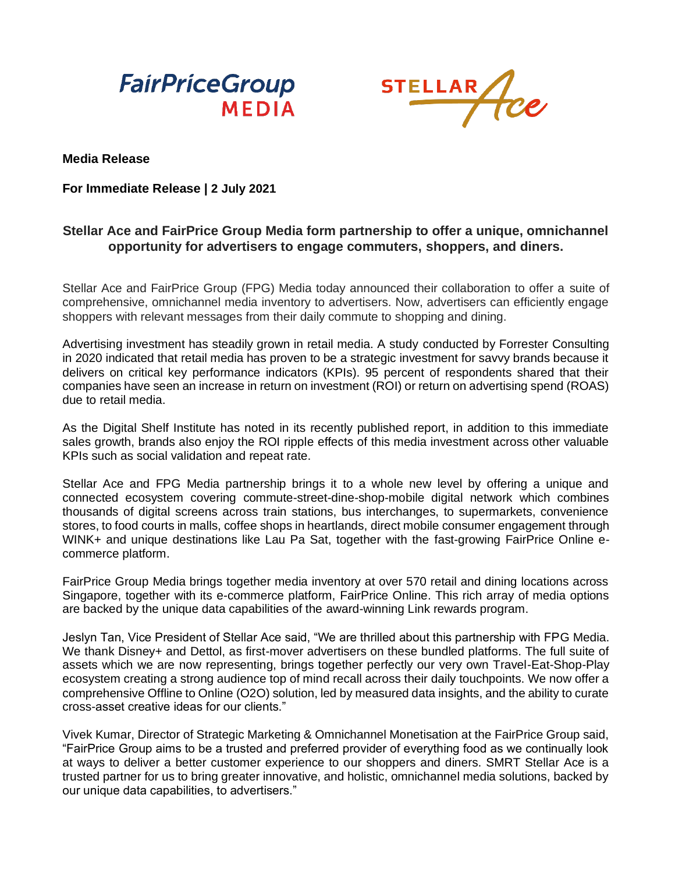



## **Media Release**

## **For Immediate Release | 2 July 2021**

## **Stellar Ace and FairPrice Group Media form partnership to offer a unique, omnichannel opportunity for advertisers to engage commuters, shoppers, and diners.**

Stellar Ace and FairPrice Group (FPG) Media today announced their collaboration to offer a suite of comprehensive, omnichannel media inventory to advertisers. Now, advertisers can efficiently engage shoppers with relevant messages from their daily commute to shopping and dining.

Advertising investment has steadily grown in retail media. A study conducted by Forrester Consulting in 2020 indicated that retail media has proven to be a strategic investment for savvy brands because it delivers on critical key performance indicators (KPIs). 95 percent of respondents shared that their companies have seen an increase in return on investment (ROI) or return on advertising spend (ROAS) due to retail media.

As the Digital Shelf Institute has noted in its recently published report, in addition to this immediate sales growth, brands also enjoy the ROI ripple effects of this media investment across other valuable KPIs such as social validation and repeat rate.

Stellar Ace and FPG Media partnership brings it to a whole new level by offering a unique and connected ecosystem covering commute-street-dine-shop-mobile digital network which combines thousands of digital screens across train stations, bus interchanges, to supermarkets, convenience stores, to food courts in malls, coffee shops in heartlands, direct mobile consumer engagement through WINK+ and unique destinations like Lau Pa Sat, together with the fast-growing FairPrice Online ecommerce platform.

FairPrice Group Media brings together media inventory at over 570 retail and dining locations across Singapore, together with its e-commerce platform, FairPrice Online. This rich array of media options are backed by the unique data capabilities of the award-winning Link rewards program.

Jeslyn Tan, Vice President of Stellar Ace said, "We are thrilled about this partnership with FPG Media. We thank Disney+ and Dettol, as first-mover advertisers on these bundled platforms. The full suite of assets which we are now representing, brings together perfectly our very own Travel-Eat-Shop-Play ecosystem creating a strong audience top of mind recall across their daily touchpoints. We now offer a comprehensive Offline to Online (O2O) solution, led by measured data insights, and the ability to curate cross-asset creative ideas for our clients."

Vivek Kumar, Director of Strategic Marketing & Omnichannel Monetisation at the FairPrice Group said, "FairPrice Group aims to be a trusted and preferred provider of everything food as we continually look at ways to deliver a better customer experience to our shoppers and diners. SMRT Stellar Ace is a trusted partner for us to bring greater innovative, and holistic, omnichannel media solutions, backed by our unique data capabilities, to advertisers."